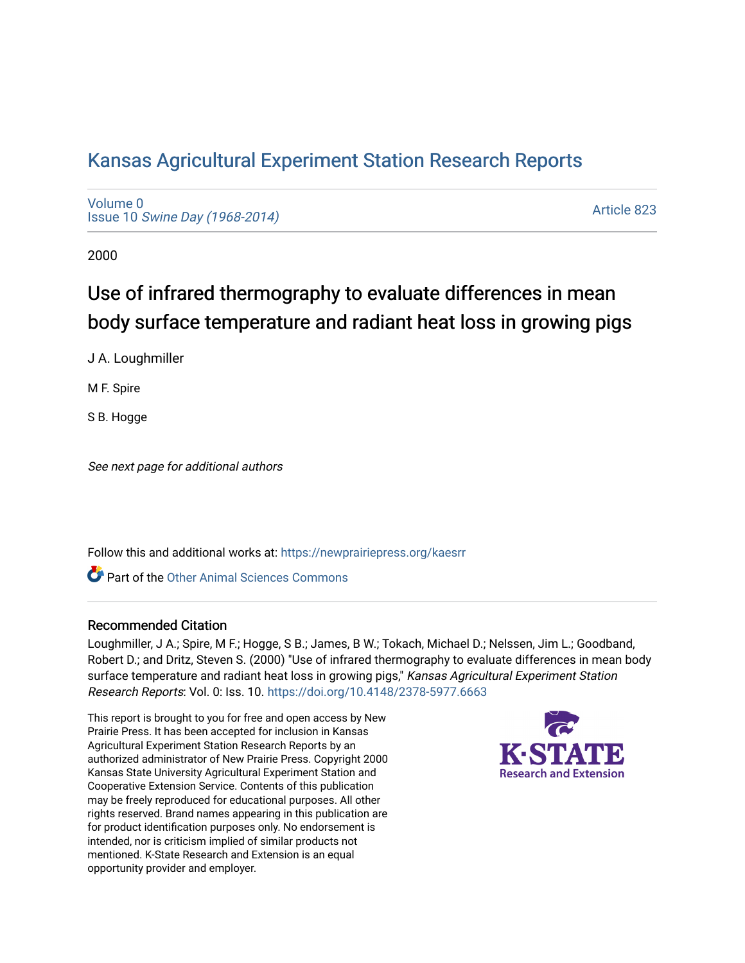## [Kansas Agricultural Experiment Station Research Reports](https://newprairiepress.org/kaesrr)

[Volume 0](https://newprairiepress.org/kaesrr/vol0) Issue 10 [Swine Day \(1968-2014\)](https://newprairiepress.org/kaesrr/vol0/iss10)

[Article 823](https://newprairiepress.org/kaesrr/vol0/iss10/823) 

2000

# Use of infrared thermography to evaluate differences in mean body surface temperature and radiant heat loss in growing pigs

J A. Loughmiller

M F. Spire

S B. Hogge

See next page for additional authors

Follow this and additional works at: [https://newprairiepress.org/kaesrr](https://newprairiepress.org/kaesrr?utm_source=newprairiepress.org%2Fkaesrr%2Fvol0%2Fiss10%2F823&utm_medium=PDF&utm_campaign=PDFCoverPages) 

**C** Part of the [Other Animal Sciences Commons](http://network.bepress.com/hgg/discipline/82?utm_source=newprairiepress.org%2Fkaesrr%2Fvol0%2Fiss10%2F823&utm_medium=PDF&utm_campaign=PDFCoverPages)

#### Recommended Citation

Loughmiller, J A.; Spire, M F.; Hogge, S B.; James, B W.; Tokach, Michael D.; Nelssen, Jim L.; Goodband, Robert D.; and Dritz, Steven S. (2000) "Use of infrared thermography to evaluate differences in mean body surface temperature and radiant heat loss in growing pigs," Kansas Agricultural Experiment Station Research Reports: Vol. 0: Iss. 10. <https://doi.org/10.4148/2378-5977.6663>

This report is brought to you for free and open access by New Prairie Press. It has been accepted for inclusion in Kansas Agricultural Experiment Station Research Reports by an authorized administrator of New Prairie Press. Copyright 2000 Kansas State University Agricultural Experiment Station and Cooperative Extension Service. Contents of this publication may be freely reproduced for educational purposes. All other rights reserved. Brand names appearing in this publication are for product identification purposes only. No endorsement is intended, nor is criticism implied of similar products not mentioned. K-State Research and Extension is an equal opportunity provider and employer.

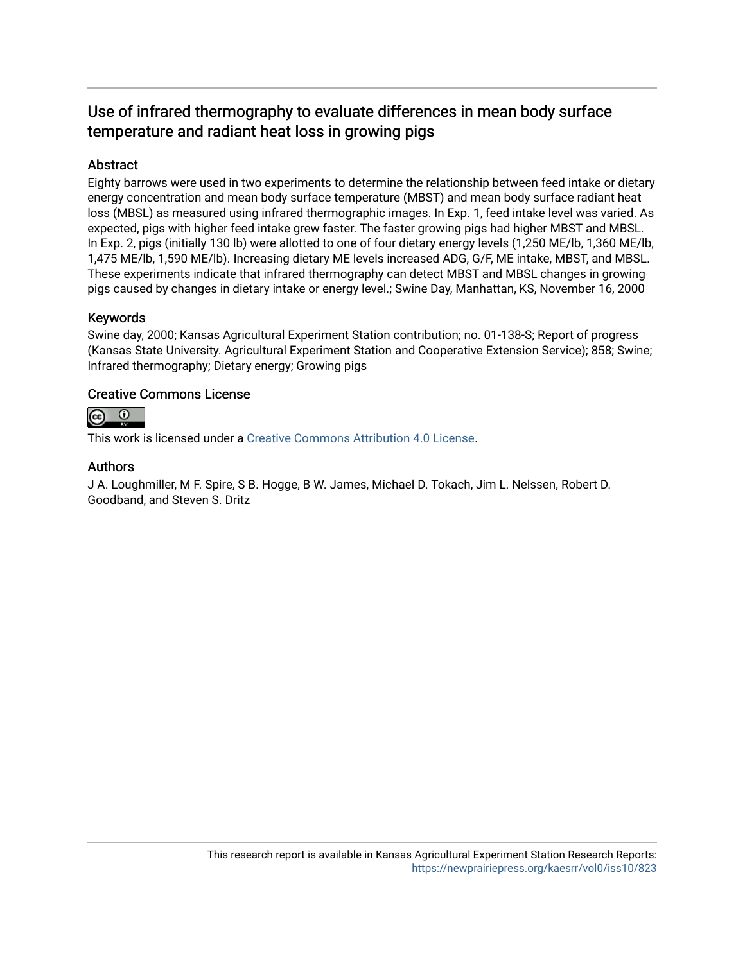### Use of infrared thermography to evaluate differences in mean body surface temperature and radiant heat loss in growing pigs

#### Abstract

Eighty barrows were used in two experiments to determine the relationship between feed intake or dietary energy concentration and mean body surface temperature (MBST) and mean body surface radiant heat loss (MBSL) as measured using infrared thermographic images. In Exp. 1, feed intake level was varied. As expected, pigs with higher feed intake grew faster. The faster growing pigs had higher MBST and MBSL. In Exp. 2, pigs (initially 130 lb) were allotted to one of four dietary energy levels (1,250 ME/lb, 1,360 ME/lb, 1,475 ME/lb, 1,590 ME/lb). Increasing dietary ME levels increased ADG, G/F, ME intake, MBST, and MBSL. These experiments indicate that infrared thermography can detect MBST and MBSL changes in growing pigs caused by changes in dietary intake or energy level.; Swine Day, Manhattan, KS, November 16, 2000

#### Keywords

Swine day, 2000; Kansas Agricultural Experiment Station contribution; no. 01-138-S; Report of progress (Kansas State University. Agricultural Experiment Station and Cooperative Extension Service); 858; Swine; Infrared thermography; Dietary energy; Growing pigs

#### Creative Commons License



This work is licensed under a [Creative Commons Attribution 4.0 License](https://creativecommons.org/licenses/by/4.0/).

#### Authors

J A. Loughmiller, M F. Spire, S B. Hogge, B W. James, Michael D. Tokach, Jim L. Nelssen, Robert D. Goodband, and Steven S. Dritz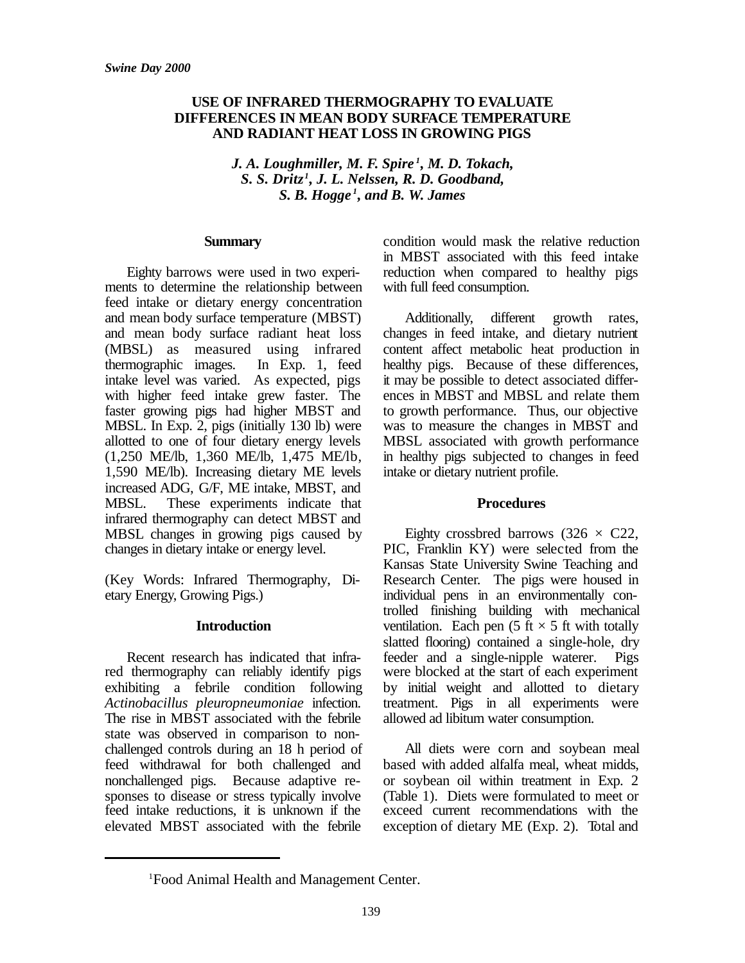#### **USE OF INFRARED THERMOGRAPHY TO EVALUATE DIFFERENCES IN MEAN BODY SURFACE TEMPERATURE AND RADIANT HEAT LOSS IN GROWING PIGS**

*J. A. Loughmiller, M. F. Spire <sup>1</sup> , M. D. Tokach, S. S. Dritz <sup>1</sup> , J. L. Nelssen, R. D. Goodband, S. B. Hogge <sup>1</sup> , and B. W. James*

#### **Summary**

Eighty barrows were used in two experiments to determine the relationship between feed intake or dietary energy concentration and mean body surface temperature (MBST) and mean body surface radiant heat loss (MBSL) as measured using infrared thermographic images. In Exp. 1, feed intake level was varied. As expected, pigs with higher feed intake grew faster. The faster growing pigs had higher MBST and MBSL. In Exp. 2, pigs (initially 130 lb) were allotted to one of four dietary energy levels (1,250 ME/lb, 1,360 ME/lb, 1,475 ME/lb, 1,590 ME/lb). Increasing dietary ME levels increased ADG, G/F, ME intake, MBST, and MBSL. These experiments indicate that infrared thermography can detect MBST and MBSL changes in growing pigs caused by changes in dietary intake or energy level.

(Key Words: Infrared Thermography, Dietary Energy, Growing Pigs.)

#### **Introduction**

Recent research has indicated that infrared thermography can reliably identify pigs exhibiting a febrile condition following *Actinobacillus pleuropneumoniae* infection. The rise in MBST associated with the febrile state was observed in comparison to nonchallenged controls during an 18 h period of feed withdrawal for both challenged and nonchallenged pigs. Because adaptive responses to disease or stress typically involve feed intake reductions, it is unknown if the elevated MBST associated with the febrile

condition would mask the relative reduction in MBST associated with this feed intake reduction when compared to healthy pigs with full feed consumption.

Additionally, different growth rates, changes in feed intake, and dietary nutrient content affect metabolic heat production in healthy pigs. Because of these differences, it may be possible to detect associated differences in MBST and MBSL and relate them to growth performance. Thus, our objective was to measure the changes in MBST and MBSL associated with growth performance in healthy pigs subjected to changes in feed intake or dietary nutrient profile.

#### **Procedures**

Eighty crossbred barrows (326  $\times$  C22, PIC, Franklin KY) were selected from the Kansas State University Swine Teaching and Research Center. The pigs were housed in individual pens in an environmentally controlled finishing building with mechanical ventilation. Each pen (5 ft  $\times$  5 ft with totally slatted flooring) contained a single-hole, dry feeder and a single-nipple waterer. Pigs were blocked at the start of each experiment by initial weight and allotted to dietary treatment. Pigs in all experiments were allowed ad libitum water consumption.

All diets were corn and soybean meal based with added alfalfa meal, wheat midds, or soybean oil within treatment in Exp. 2 (Table 1). Diets were formulated to meet or exceed current recommendations with the exception of dietary ME (Exp. 2). Total and

<sup>1</sup>Food Animal Health and Management Center.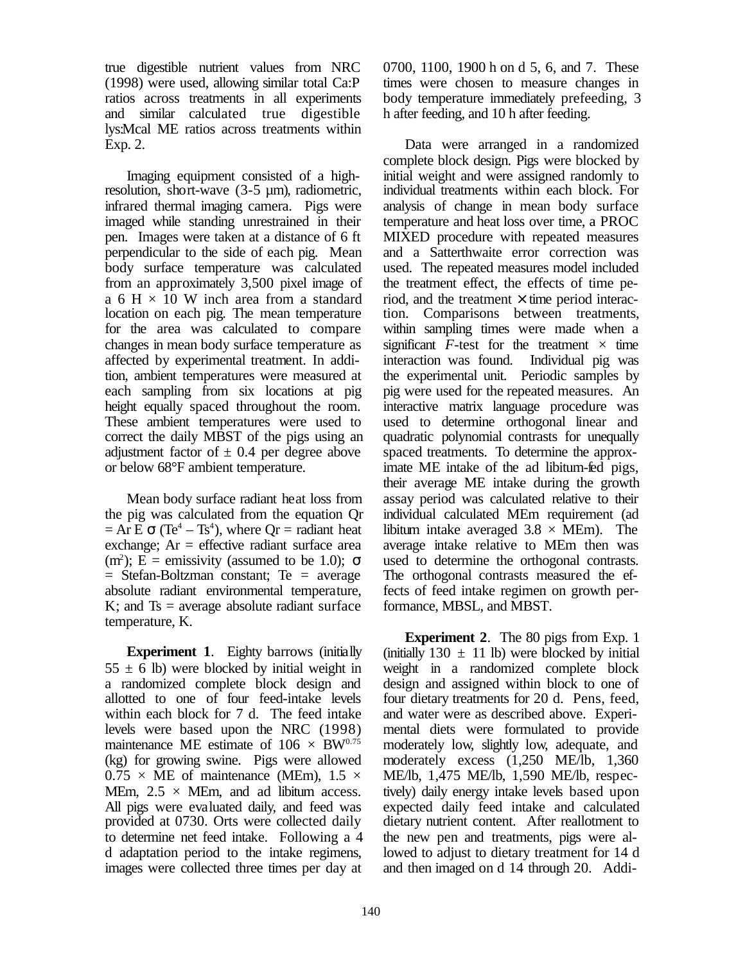true digestible nutrient values from NRC (1998) were used, allowing similar total Ca:P ratios across treatments in all experiments and similar calculated true digestible lys:Mcal ME ratios across treatments within Exp. 2.

Imaging equipment consisted of a highresolution, short-wave (3-5 µm), radiometric, infrared thermal imaging camera. Pigs were imaged while standing unrestrained in their pen. Images were taken at a distance of 6 ft perpendicular to the side of each pig. Mean body surface temperature was calculated from an approximately 3,500 pixel image of a 6 H  $\times$  10 W inch area from a standard location on each pig. The mean temperature for the area was calculated to compare changes in mean body surface temperature as affected by experimental treatment. In addition, ambient temperatures were measured at each sampling from six locations at pig height equally spaced throughout the room. These ambient temperatures were used to correct the daily MBST of the pigs using an adjustment factor of  $\pm$  0.4 per degree above or below 68°F ambient temperature.

Mean body surface radiant heat loss from the pig was calculated from the equation Qr  $= Ar E \sigma (Te<sup>4</sup> - Ts<sup>4</sup>)$ , where  $Qr =$  radiant heat exchange:  $Ar =$  effective radiant surface area (m<sup>2</sup>); E = emissivity (assumed to be 1.0);  $\sigma$  $=$  Stefan-Boltzman constant; Te  $=$  average absolute radiant environmental temperature,  $K$ ; and  $Ts = \text{average absolute radiant surface}$ temperature, K.

**Experiment 1**. Eighty barrows (initially  $55 \pm 6$  lb) were blocked by initial weight in a randomized complete block design and allotted to one of four feed-intake levels within each block for 7 d. The feed intake levels were based upon the NRC (1998) maintenance ME estimate of  $106 \times BW^{0.75}$ (kg) for growing swine. Pigs were allowed  $0.75 \times \text{ME of maintenance (MEM)}, 1.5 \times$ MEm,  $2.5 \times$  MEm, and ad libitum access. All pigs were evaluated daily, and feed was provided at 0730. Orts were collected daily to determine net feed intake. Following a 4 d adaptation period to the intake regimens, images were collected three times per day at

0700, 1100, 1900 h on d 5, 6, and 7. These times were chosen to measure changes in body temperature immediately prefeeding, 3 h after feeding, and 10 h after feeding.

Data were arranged in a randomized complete block design. Pigs were blocked by initial weight and were assigned randomly to individual treatments within each block. For analysis of change in mean body surface temperature and heat loss over time, a PROC MIXED procedure with repeated measures and a Satterthwaite error correction was used. The repeated measures model included the treatment effect, the effects of time period, and the treatment  $\times$  time period interaction. Comparisons between treatments, within sampling times were made when a significant  $F$ -test for the treatment  $\times$  time interaction was found. Individual pig was the experimental unit. Periodic samples by pig were used for the repeated measures. An interactive matrix language procedure was used to determine orthogonal linear and quadratic polynomial contrasts for unequally spaced treatments. To determine the approximate ME intake of the ad libitum-fed pigs, their average ME intake during the growth assay period was calculated relative to their individual calculated MEm requirement (ad libitum intake averaged  $3.8 \times \text{MEM}$ . The average intake relative to MEm then was used to determine the orthogonal contrasts. The orthogonal contrasts measured the effects of feed intake regimen on growth performance, MBSL, and MBST.

**Experiment 2**. The 80 pigs from Exp. 1 (initially  $130 \pm 11$  lb) were blocked by initial weight in a randomized complete block design and assigned within block to one of four dietary treatments for 20 d. Pens, feed, and water were as described above. Experimental diets were formulated to provide moderately low, slightly low, adequate, and moderately excess (1,250 ME/lb, 1,360 ME/lb, 1,475 ME/lb, 1,590 ME/lb, respectively) daily energy intake levels based upon expected daily feed intake and calculated dietary nutrient content. After reallotment to the new pen and treatments, pigs were allowed to adjust to dietary treatment for 14 d and then imaged on d 14 through 20. Addi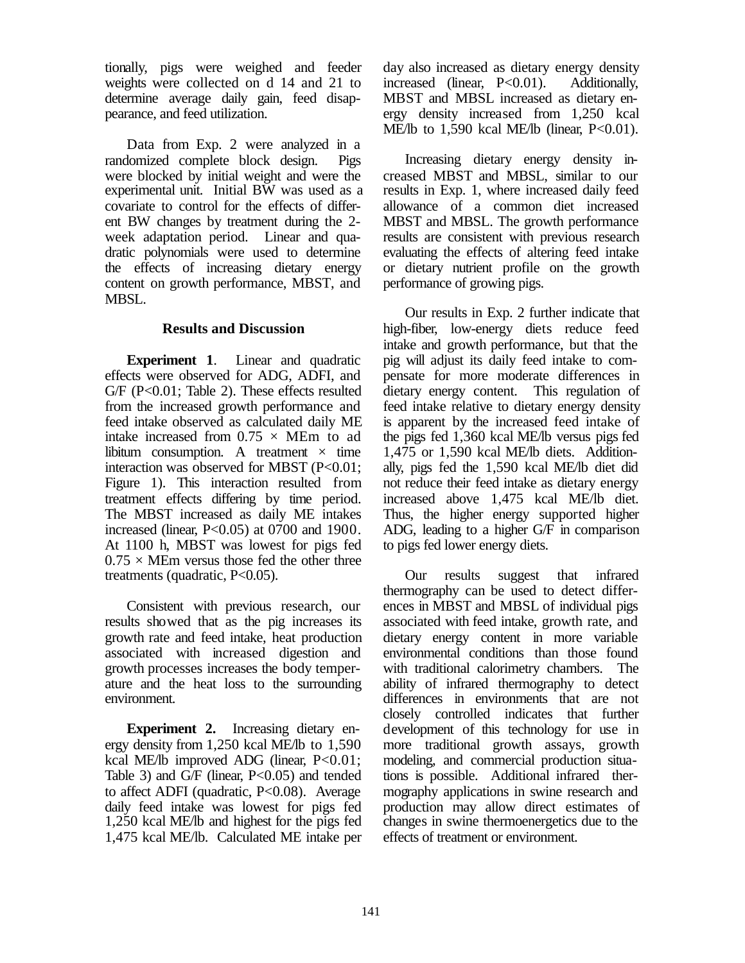tionally, pigs were weighed and feeder weights were collected on d 14 and 21 to determine average daily gain, feed disappearance, and feed utilization.

Data from Exp. 2 were analyzed in a randomized complete block design. Pigs were blocked by initial weight and were the experimental unit. Initial BW was used as a covariate to control for the effects of different BW changes by treatment during the 2 week adaptation period. Linear and quadratic polynomials were used to determine the effects of increasing dietary energy content on growth performance, MBST, and MBSL.

#### **Results and Discussion**

**Experiment 1**. Linear and quadratic effects were observed for ADG, ADFI, and G/F (P<0.01; Table 2). These effects resulted from the increased growth performance and feed intake observed as calculated daily ME intake increased from  $0.75 \times \text{MEM}$  to ad libitum consumption. A treatment  $\times$  time interaction was observed for MBST (P<0.01; Figure 1). This interaction resulted from treatment effects differing by time period. The MBST increased as daily ME intakes increased (linear,  $P<0.05$ ) at 0700 and 1900. At 1100 h, MBST was lowest for pigs fed  $0.75 \times$  MEm versus those fed the other three treatments (quadratic, P<0.05).

Consistent with previous research, our results showed that as the pig increases its growth rate and feed intake, heat production associated with increased digestion and growth processes increases the body temperature and the heat loss to the surrounding environment.

**Experiment 2.** Increasing dietary energy density from 1,250 kcal ME/lb to 1,590 kcal ME/lb improved ADG (linear, P<0.01; Table 3) and  $G/F$  (linear, P<0.05) and tended to affect ADFI (quadratic, P<0.08). Average daily feed intake was lowest for pigs fed 1,250 kcal ME/lb and highest for the pigs fed 1,475 kcal ME/lb. Calculated ME intake per day also increased as dietary energy density increased (linear, P<0.01). Additionally, MBST and MBSL increased as dietary energy density increased from 1,250 kcal ME/lb to 1,590 kcal ME/lb (linear,  $P<0.01$ ).

Increasing dietary energy density increased MBST and MBSL, similar to our results in Exp. 1, where increased daily feed allowance of a common diet increased MBST and MBSL. The growth performance results are consistent with previous research evaluating the effects of altering feed intake or dietary nutrient profile on the growth performance of growing pigs.

Our results in Exp. 2 further indicate that high-fiber, low-energy diets reduce feed intake and growth performance, but that the pig will adjust its daily feed intake to compensate for more moderate differences in dietary energy content. This regulation of feed intake relative to dietary energy density is apparent by the increased feed intake of the pigs fed 1,360 kcal ME/lb versus pigs fed 1,475 or 1,590 kcal ME/lb diets. Additionally, pigs fed the 1,590 kcal ME/lb diet did not reduce their feed intake as dietary energy increased above 1,475 kcal ME/lb diet. Thus, the higher energy supported higher ADG, leading to a higher G/F in comparison to pigs fed lower energy diets.

Our results suggest that infrared thermography can be used to detect differences in MBST and MBSL of individual pigs associated with feed intake, growth rate, and dietary energy content in more variable environmental conditions than those found with traditional calorimetry chambers. The ability of infrared thermography to detect differences in environments that are not closely controlled indicates that further development of this technology for use in more traditional growth assays, growth modeling, and commercial production situations is possible. Additional infrared thermography applications in swine research and production may allow direct estimates of changes in swine thermoenergetics due to the effects of treatment or environment.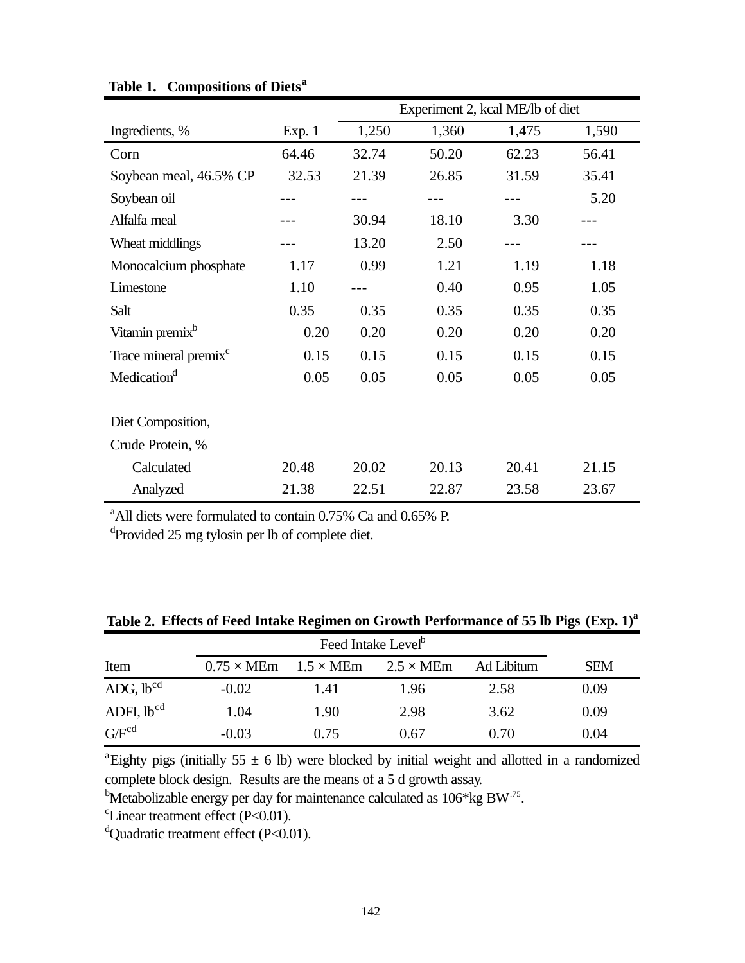|                                   |        | Experiment 2, kcal ME/lb of diet |       |       |       |
|-----------------------------------|--------|----------------------------------|-------|-------|-------|
| Ingredients, %                    | Exp. 1 | 1,250                            | 1,360 | 1,475 | 1,590 |
| Corn                              | 64.46  | 32.74                            | 50.20 | 62.23 | 56.41 |
| Soybean meal, 46.5% CP            | 32.53  | 21.39                            | 26.85 | 31.59 | 35.41 |
| Soybean oil                       |        |                                  |       |       | 5.20  |
| Alfalfa meal                      |        | 30.94                            | 18.10 | 3.30  |       |
| Wheat middlings                   |        | 13.20                            | 2.50  |       |       |
| Monocalcium phosphate             | 1.17   | 0.99                             | 1.21  | 1.19  | 1.18  |
| Limestone                         | 1.10   |                                  | 0.40  | 0.95  | 1.05  |
| Salt                              | 0.35   | 0.35                             | 0.35  | 0.35  | 0.35  |
| Vitamin premix <sup>b</sup>       | 0.20   | 0.20                             | 0.20  | 0.20  | 0.20  |
| Trace mineral premix <sup>c</sup> | 0.15   | 0.15                             | 0.15  | 0.15  | 0.15  |
| Medication <sup>d</sup>           | 0.05   | 0.05                             | 0.05  | 0.05  | 0.05  |
|                                   |        |                                  |       |       |       |
| Diet Composition,                 |        |                                  |       |       |       |
| Crude Protein, %                  |        |                                  |       |       |       |
| Calculated                        | 20.48  | 20.02                            | 20.13 | 20.41 | 21.15 |
| Analyzed                          | 21.38  | 22.51                            | 22.87 | 23.58 | 23.67 |

**Table 1. Compositions of Diets<sup>a</sup>**

<sup>a</sup>All diets were formulated to contain 0.75% Ca and 0.65% P.

<sup>d</sup>Provided 25 mg tylosin per lb of complete diet.

**Table 2. Effects of Feed Intake Regimen on Growth Performance of 55 lb Pigs (Exp. 1)<sup>a</sup>**

|                 | Feed Intake Level <sup>b</sup> |                         |                         |            |            |  |  |
|-----------------|--------------------------------|-------------------------|-------------------------|------------|------------|--|--|
| Item            | $0.75 \times \text{MEM}$       | $1.5 \times \text{MEM}$ | $2.5 \times \text{MEM}$ | Ad Libitum | <b>SEM</b> |  |  |
| $ADG, lb^{cd}$  | $-0.02$                        | 1.41                    | 1.96                    | 2.58       | 0.09       |  |  |
| ADFI, $lb^{cd}$ | 1.04                           | 1.90                    | 2.98                    | 3.62       | 0.09       |  |  |
| $G/F^{cd}$      | $-0.03$                        | 0.75                    | 0.67                    | 0.70       | 0.04       |  |  |

<sup>a</sup>Eighty pigs (initially 55  $\pm$  6 lb) were blocked by initial weight and allotted in a randomized complete block design. Results are the means of a 5 d growth assay.

<sup>b</sup>Metabolizable energy per day for maintenance calculated as  $106*kg$  BW<sup>-75</sup>.

 $c$ Linear treatment effect (P<0.01).

 $d$ Quadratic treatment effect (P<0.01).